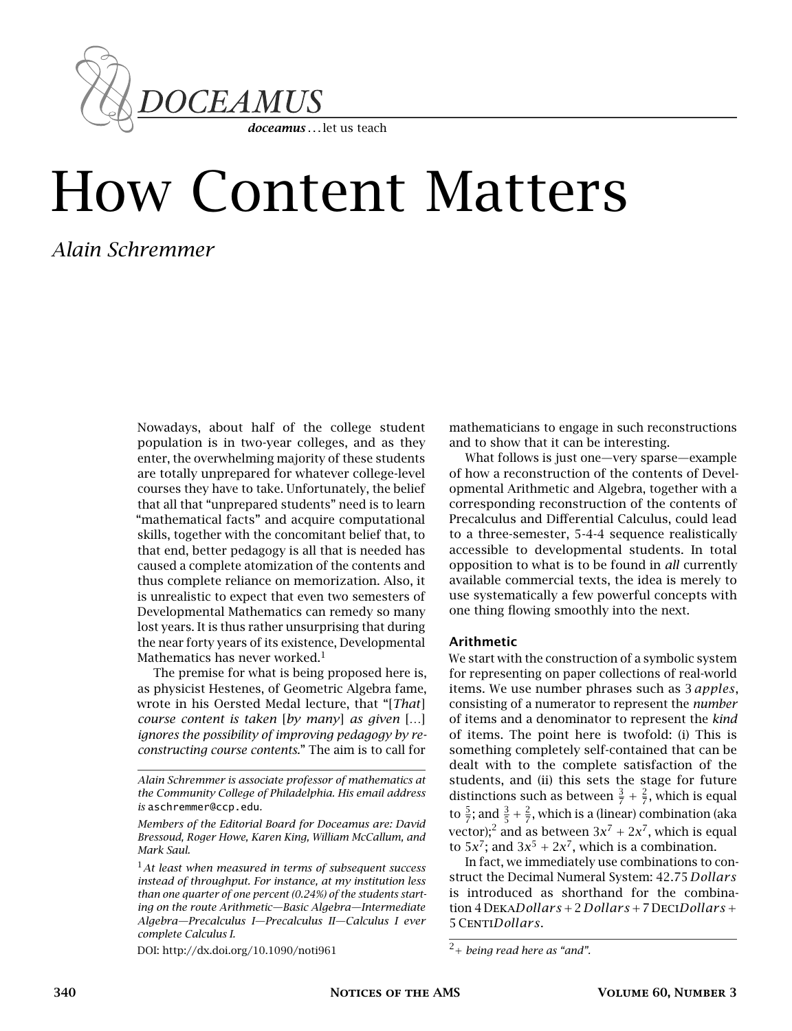

# How Content Matters

## *Alain Schremmer*

Nowadays, about half of the college student population is in two-year colleges, and as they enter, the overwhelming majority of these students are totally unprepared for whatever college-level courses they have to take. Unfortunately, the belief that all that "unprepared students" need is to learn "mathematical facts" and acquire computational skills, together with the concomitant belief that, to that end, better pedagogy is all that is needed has caused a complete atomization of the contents and thus complete reliance on memorization. Also, it is unrealistic to expect that even two semesters of Developmental Mathematics can remedy so many lost years. It is thus rather unsurprising that during the near forty years of its existence, Developmental Mathematics has never worked. $<sup>1</sup>$ </sup>

The premise for what is being proposed here is, as physicist Hestenes, of Geometric Algebra fame, wrote in his Oersted Medal lecture, that "[*That*] *course content is taken* [*by many*] *as given* […] *ignores the possibility of improving pedagogy by reconstructing course contents.*" The aim is to call for

*Alain Schremmer is associate professor of mathematics at the Community College of Philadelphia. His email address is* aschremmer@ccp.edu*.*

*Members of the Editorial Board for Doceamus are: David Bressoud, Roger Howe, Karen King, William McCallum, and Mark Saul.*

<sup>1</sup>*At least when measured in terms of subsequent success instead of throughput. For instance, at my institution less than one quarter of one percent (0.24%) of the students starting on the route Arithmetic—Basic Algebra—Intermediate Algebra—Precalculus I—Precalculus II—Calculus I ever complete Calculus I.*

DOI: http://dx.doi.org/10.1090/noti961

mathematicians to engage in such reconstructions and to show that it can be interesting.

What follows is just one—very sparse—example of how a reconstruction of the contents of Developmental Arithmetic and Algebra, together with a corresponding reconstruction of the contents of Precalculus and Differential Calculus, could lead to a three-semester, 5-4-4 sequence realistically accessible to developmental students. In total opposition to what is to be found in *all* currently available commercial texts, the idea is merely to use systematically a few powerful concepts with one thing flowing smoothly into the next.

#### Arithmetic

We start with the construction of a symbolic system for representing on paper collections of real-world items. We use number phrases such as 3 *apples*, consisting of a numerator to represent the *number* of items and a denominator to represent the *kind* of items. The point here is twofold: (i) This is something completely self-contained that can be dealt with to the complete satisfaction of the students, and (ii) this sets the stage for future distinctions such as between  $\frac{3}{7} + \frac{2}{7}$ , which is equal to  $\frac{5}{7}$ ; and  $\frac{3}{5} + \frac{2}{7}$ , which is a (linear) combination (aka vector);<sup>2</sup> and as between  $3x^7 + 2x^7$ , which is equal to  $5x^7$ ; and  $3x^5 + 2x^7$ , which is a combination.

In fact, we immediately use combinations to construct the Decimal Numeral System: 42*.*75 *Dollar s* is introduced as shorthand for the combination 4 Deka*Dollar s* +2 *Dollar s* +7 Deci*Dollar s* + 5Centi*Dollar s*.

<sup>2</sup>+ *being read here as "and".*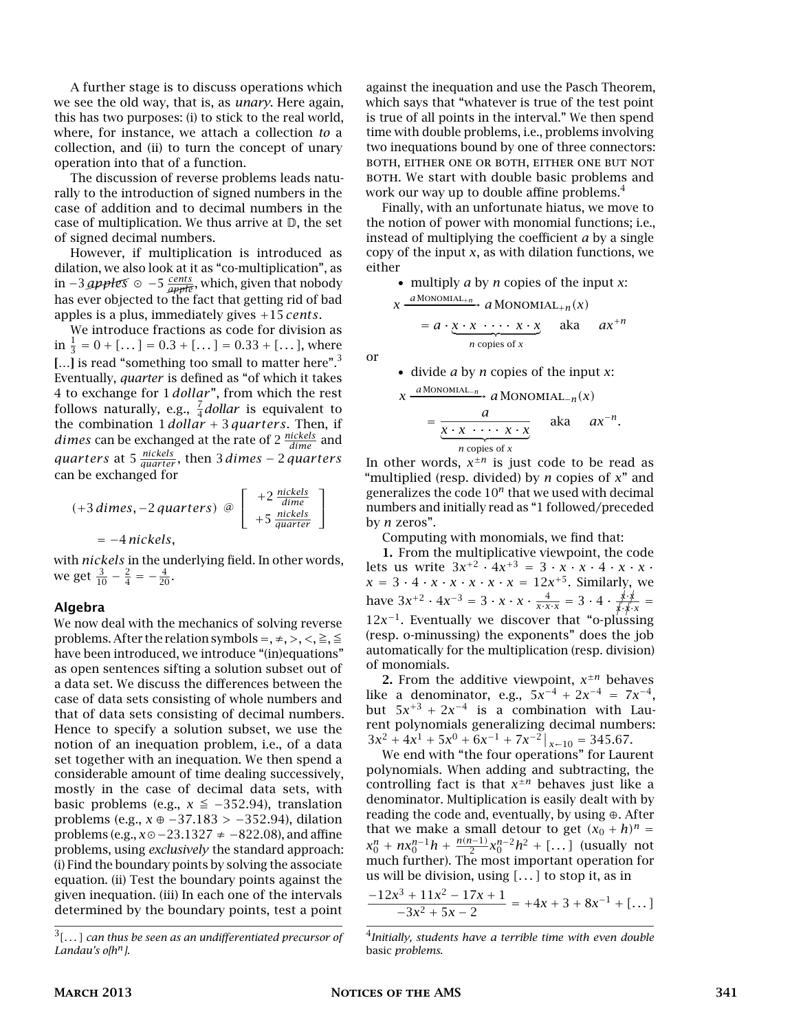A further stage is to discuss operations which we see the old way, that is, as *unary*. Here again, this has two purposes: (i) to stick to the real world, where, for instance, we attach a collection *to* a collection, and (ii) to turn the concept of unary operation into that of a function.

The discussion of reverse problems leads naturally to the introduction of signed numbers in the case of addition and to decimal numbers in the case of multiplication. We thus arrive at  $D$ , the set of signed decimal numbers.

However, if multiplication is introduced as dilation, we also look at it as "co-multiplication", as dination, we also look at it as communiphed to history as<br>in −3 *apples* ⊙ −5  $\frac{cents}{\alpha p p l \theta}$ , which, given that nobody has ever objected to the fact that getting rid of bad apples is a plus, immediately gives +15 *cents*.

We introduce fractions as code for division as  $\sin \frac{1}{3} = 0 + [...] = 0.3 + [...] = 0.33 + [...],$  where [...] is read "something too small to matter here".<sup>3</sup> Eventually, *quarter* is defined as "of which it takes 4 to exchange for 1 *dollar* ", from which the rest follows naturally, e.g.,  $\frac{7}{4}$  *dollar* is equivalent to the combination 1 *dollar* + 3 *quar ter s*. Then, if *dimes* can be exchanged at the rate of 2 *nickels dime* and *quar ter s* at 5 *nickels quar ter* , then 3 *dimes* − 2 *quar ter s* can be exchanged for

$$
(+3 \text{ dimes}, -2 \text{ quarters}) \text{ } \textcircled{=} \left[\begin{array}{c} +2 \frac{\text{nickels}}{\text{ dime}} \\ +5 \frac{\text{nickels}}{\text{ quarter}} \end{array}\right]
$$

$$
=-4 \text{ nickels},
$$

with *nickels* in the underlying field. In other words, we get  $\frac{3}{10} - \frac{2}{4} = -\frac{4}{20}$ .

#### Algebra

We now deal with the mechanics of solving reverse problems. After the relation symbols =,  $\neq$ ,  $>$ ,  $\lt$ ,  $\geq$ ,  $\leq$ have been introduced, we introduce "(in)equations" as open sentences sifting a solution subset out of a data set. We discuss the differences between the case of data sets consisting of whole numbers and that of data sets consisting of decimal numbers. Hence to specify a solution subset, we use the notion of an inequation problem, i.e., of a data set together with an inequation. We then spend a considerable amount of time dealing successively, mostly in the case of decimal data sets, with basic problems (e.g.,  $x \leq −352.94$ ), translation problems (e.g., *x* ⊕ −37*.*183 *>* −352*.*94), dilation problems (e.g., *x*−23*.*1327 ≠ −822*.*08), and affine problems, using *exclusively* the standard approach: (i) Find the boundary points by solving the associate equation. (ii) Test the boundary points against the given inequation. (iii) In each one of the intervals determined by the boundary points, test a point

3 *[. . . ] can thus be seen as an undifferentiated precursor of Landau's o[h n].*

against the inequation and use the Pasch Theorem, which says that "whatever is true of the test point is true of all points in the interval." We then spend time with double problems, i.e., problems involving two inequations bound by one of three connectors: both, either one or both, either one but not BOTH. We start with double basic problems and work our way up to double affine problems.<sup>4</sup>

Finally, with an unfortunate hiatus, we move to the notion of power with monomial functions; i.e., instead of multiplying the coefficient *a* by a single copy of the input *x*, as with dilation functions, we either

• multiply *a* by *n* copies of the input *x*:

$$
x \xrightarrow{a \text{MONOMIAL}_{+n}} a \text{MONOMIAL}_{+n}(x)
$$

$$
= a \cdot \underbrace{x \cdot x \cdot \cdots \cdot x \cdot x}_{n \text{ copies of } x} \quad \text{aka} \quad ax^{+n}
$$

or

\n- divide 
$$
a
$$
 by  $n$  copies of the input  $x$ :
\n

$$
x \xrightarrow{\text{a Monominal.}_n} a Monom[\text{al.}_n(x)]
$$
  
= 
$$
\underbrace{\frac{a}{x \cdot x \cdot \cdots \cdot x \cdot x}}_{n \text{ copies of } x} \text{ aka } ax^{-n}.
$$

In other words,  $x^{\pm n}$  is just code to be read as "multiplied (resp. divided) by *n* copies of *x*" and generalizes the code 10*<sup>n</sup>* that we used with decimal numbers and initially read as "1 followed/preceded by *n* zeros".

Computing with monomials, we find that:

1. From the multiplicative viewpoint, the code lets us write  $3x^{+2} \cdot 4x^{+3} = 3 \cdot x \cdot x \cdot 4 \cdot x \cdot x \cdot$  $x = 3 \cdot 4 \cdot x \cdot x \cdot x \cdot x \cdot x = 12x^{+5}$ . Similarly, we have  $3x^{2} \cdot 4x^{-3} = 3 \cdot x \cdot x \cdot \frac{4}{x \cdot x \cdot x} = 3 \cdot 4 \cdot \frac{x \cdot x}{x \cdot x \cdot x} =$  $12x^{-1}$ . Eventually we discover that "o-plussing" (resp. o-minussing) the exponents" does the job automatically for the multiplication (resp. division) of monomials.

2. From the additive viewpoint,  $x^{\pm n}$  behaves like a denominator, e.g.,  $5x^{-4} + 2x^{-4} = 7x^{-4}$ , but  $5x^{+3} + 2x^{-4}$  is a combination with Laurent polynomials generalizing decimal numbers:  $3x^2 + 4x^1 + 5x^0 + 6x^{-1} + 7x^{-2} |_{x \sim 10} = 345.67.$ 

We end with "the four operations" for Laurent polynomials. When adding and subtracting, the controlling fact is that  $x^{\pm n}$  behaves just like a denominator. Multiplication is easily dealt with by reading the code and, eventually, by using ⊕. After that we make a small detour to get  $(x_0 + h)^n$  =  $x_0^n + nx_0^{n-1}h + \frac{n(n-1)}{2}x_0^{n-2}h^2 + [...]$  (usually not much further). The most important operation for us will be division, using *[. . . ]* to stop it, as in

$$
\frac{-12x^3 + 11x^2 - 17x + 1}{-3x^2 + 5x - 2} = +4x + 3 + 8x^{-1} + [\dots]
$$

<sup>4</sup> *Initially, students have a terrible time with even double* basic *problems.*